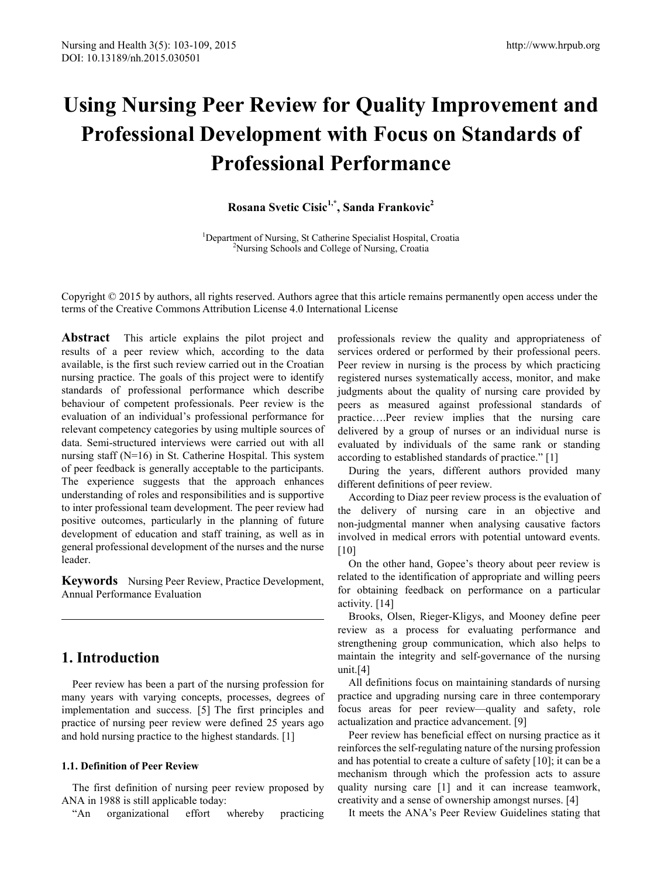# **Using Nursing Peer Review for Quality Improvement and Professional Development with Focus on Standards of Professional Performance**

**Rosana Svetic Cisic 1,\*, Sanda Frankovic 2**

<sup>1</sup>Department of Nursing, St Catherine Specialist Hospital, Croatia <sup>2</sup>Nursing Schools and College of Nursing Croatia <sup>2</sup>Nursing Schools and College of Nursing, Croatia

Copyright © 2015 by authors, all rights reserved. Authors agree that this article remains permanently open access under the terms of the Creative Commons Attribution License 4.0 International License

**Abstract** This article explains the pilot project and results of a peer review which, according to the data available, is the first such review carried out in the Croatian nursing practice. The goals of this project were to identify standards of professional performance which describe behaviour of competent professionals. Peer review is the evaluation of an individual's professional performance for relevant competency categories by using multiple sources of data. Semi-structured interviews were carried out with all nursing staff (N=16) in St. Catherine Hospital. This system of peer feedback is generally acceptable to the participants. The experience suggests that the approach enhances understanding of roles and responsibilities and is supportive to inter professional team development. The peer review had positive outcomes, particularly in the planning of future development of education and staff training, as well as in general professional development of the nurses and the nurse leader.

**Keywords** Nursing Peer Review, Practice Development, Annual Performance Evaluation

# **1. Introduction**

Peer review has been a part of the nursing profession for many years with varying concepts, processes, degrees of implementation and success. [5] The first principles and practice of nursing peer review were defined 25 years ago and hold nursing practice to the highest standards. [1]

#### **1.1. Definition of Peer Review**

The first definition of nursing peer review proposed by ANA in 1988 is still applicable today:

"An organizational effort whereby practicing

professionals review the quality and appropriateness of services ordered or performed by their professional peers. Peer review in nursing is the process by which practicing registered nurses systematically access, monitor, and make judgments about the quality of nursing care provided by peers as measured against professional standards of practice….Peer review implies that the nursing care delivered by a group of nurses or an individual nurse is evaluated by individuals of the same rank or standing according to established standards of practice." [1]

During the years, different authors provided many different definitions of peer review.

According to Diaz peer review process is the evaluation of the delivery of nursing care in an objective and non-judgmental manner when analysing causative factors involved in medical errors with potential untoward events. [10]

On the other hand, Gopee's theory about peer review is related to the identification of appropriate and willing peers for obtaining feedback on performance on a particular activity. [14]

Brooks, Olsen, Rieger-Kligys, and Mooney define peer review as a process for evaluating performance and strengthening group communication, which also helps to maintain the integrity and self-governance of the nursing unit.[4]

All definitions focus on maintaining standards of nursing practice and upgrading nursing care in three contemporary focus areas for peer review—quality and safety, role actualization and practice advancement. [9]

Peer review has beneficial effect on nursing practice as it reinforces the self-regulating nature of the nursing profession and has potential to create a culture of safety [10]; it can be a mechanism through which the profession acts to assure quality nursing care [1] and it can increase teamwork, creativity and a sense of ownership amongst nurses. [4]

It meets the ANA's Peer Review Guidelines stating that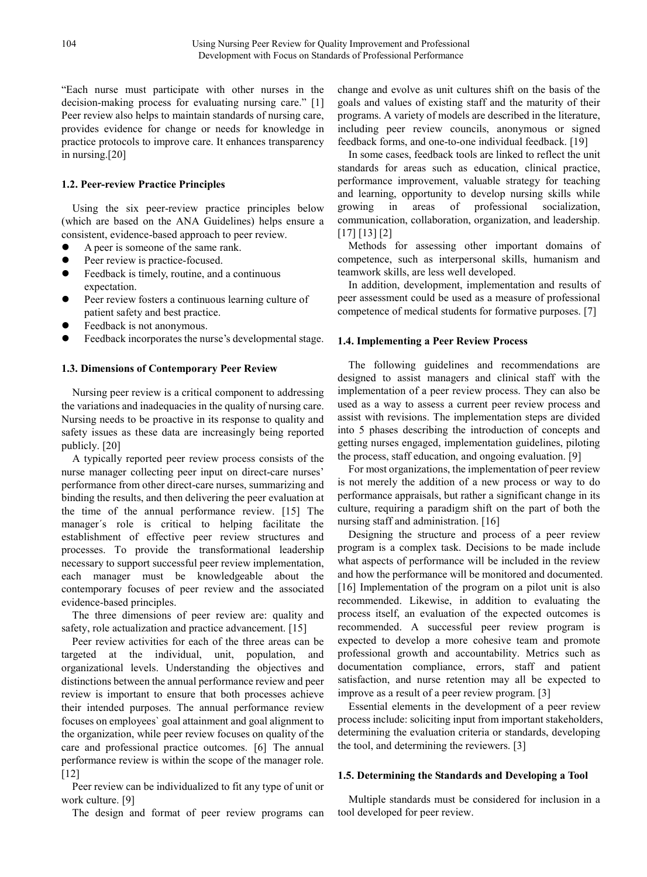"Each nurse must participate with other nurses in the decision-making process for evaluating nursing care." [1] Peer review also helps to maintain standards of nursing care, provides evidence for change or needs for knowledge in practice protocols to improve care. It enhances transparency in nursing.[20]

#### **1.2. Peer-review Practice Principles**

Using the six peer-review practice principles below (which are based on the ANA Guidelines) helps ensure a consistent, evidence-based approach to peer review.

- A peer is someone of the same rank.
- Peer review is practice-focused.
- Feedback is timely, routine, and a continuous expectation.
- Peer review fosters a continuous learning culture of patient safety and best practice.
- Feedback is not anonymous.
- Feedback incorporates the nurse's developmental stage.

#### **1.3. Dimensions of Contemporary Peer Review**

Nursing peer review is a critical component to addressing the variations and inadequacies in the quality of nursing care. Nursing needs to be proactive in its response to quality and safety issues as these data are increasingly being reported publicly. [20]

A typically reported peer review process consists of the nurse manager collecting peer input on direct-care nurses' performance from other direct-care nurses, summarizing and binding the results, and then delivering the peer evaluation at the time of the annual performance review. [15] The manager´s role is critical to helping facilitate the establishment of effective peer review structures and processes. To provide the transformational leadership necessary to support successful peer review implementation, each manager must be knowledgeable about the contemporary focuses of peer review and the associated evidence-based principles.

The three dimensions of peer review are: quality and safety, role actualization and practice advancement. [15]

Peer review activities for each of the three areas can be targeted at the individual, unit, population, and organizational levels. Understanding the objectives and distinctions between the annual performance review and peer review is important to ensure that both processes achieve their intended purposes. The annual performance review focuses on employees` goal attainment and goal alignment to the organization, while peer review focuses on quality of the care and professional practice outcomes. [6] The annual performance review is within the scope of the manager role. [12]

Peer review can be individualized to fit any type of unit or work culture. [9]

The design and format of peer review programs can

change and evolve as unit cultures shift on the basis of the goals and values of existing staff and the maturity of their programs. A variety of models are described in the literature, including peer review councils, anonymous or signed feedback forms, and one-to-one individual feedback. [19]

In some cases, feedback tools are linked to reflect the unit standards for areas such as education, clinical practice, performance improvement, valuable strategy for teaching and learning, opportunity to develop nursing skills while growing in areas of professional socialization, communication, collaboration, organization, and leadership. [17] [13] [2]

Methods for assessing other important domains of competence, such as interpersonal skills, humanism and teamwork skills, are less well developed.

In addition, development, implementation and results of peer assessment could be used as a measure of professional competence of medical students for formative purposes. [7]

#### **1.4. Implementing a Peer Review Process**

The following guidelines and recommendations are designed to assist managers and clinical staff with the implementation of a peer review process. They can also be used as a way to assess a current peer review process and assist with revisions. The implementation steps are divided into 5 phases describing the introduction of concepts and getting nurses engaged, implementation guidelines, piloting the process, staff education, and ongoing evaluation. [9]

For most organizations, the implementation of peer review is not merely the addition of a new process or way to do performance appraisals, but rather a significant change in its culture, requiring a paradigm shift on the part of both the nursing staff and administration. [16]

Designing the structure and process of a peer review program is a complex task. Decisions to be made include what aspects of performance will be included in the review and how the performance will be monitored and documented. [16] Implementation of the program on a pilot unit is also recommended. Likewise, in addition to evaluating the process itself, an evaluation of the expected outcomes is recommended. A successful peer review program is expected to develop a more cohesive team and promote professional growth and accountability. Metrics such as documentation compliance, errors, staff and patient satisfaction, and nurse retention may all be expected to improve as a result of a peer review program. [3]

Essential elements in the development of a peer review process include: soliciting input from important stakeholders, determining the evaluation criteria or standards, developing the tool, and determining the reviewers. [3]

#### **1.5. Determining the Standards and Developing a Tool**

Multiple standards must be considered for inclusion in a tool developed for peer review.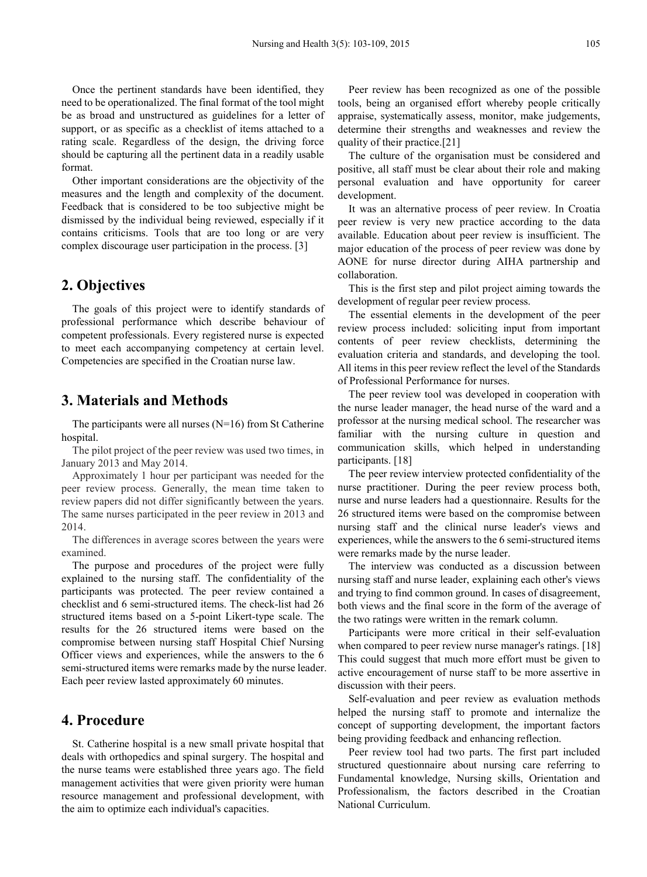Once the pertinent standards have been identified, they need to be operationalized. The final format of the tool might be as broad and unstructured as guidelines for a letter of support, or as specific as a checklist of items attached to a rating scale. Regardless of the design, the driving force should be capturing all the pertinent data in a readily usable format.

Other important considerations are the objectivity of the measures and the length and complexity of the document. Feedback that is considered to be too subjective might be dismissed by the individual being reviewed, especially if it contains criticisms. Tools that are too long or are very complex discourage user participation in the process. [3]

#### **2. Objectives**

The goals of this project were to identify standards of professional performance which describe behaviour of competent professionals. Every registered nurse is expected to meet each accompanying competency at certain level. Competencies are specified in the Croatian nurse law.

## **3. Materials and Methods**

The participants were all nurses  $(N=16)$  from St Catherine hospital.

The pilot project of the peer review was used two times, in January 2013 and May 2014.

Approximately 1 hour per participant was needed for the peer review process. Generally, the mean time taken to review papers did not differ significantly between the years. The same nurses participated in the peer review in 2013 and 2014.

The differences in average scores between the years were examined.

The purpose and procedures of the project were fully explained to the nursing staff. The confidentiality of the participants was protected. The peer review contained a checklist and 6 semi-structured items. The check-list had 26 structured items based on a 5-point Likert-type scale. The results for the 26 structured items were based on the compromise between nursing staff Hospital Chief Nursing Officer views and experiences, while the answers to the 6 semi-structured items were remarks made by the nurse leader. Each peer review lasted approximately 60 minutes.

## **4. Procedure**

St. Catherine hospital is a new small private hospital that deals with orthopedics and spinal surgery. The hospital and the nurse teams were established three years ago. The field management activities that were given priority were human resource management and professional development, with the aim to optimize each individual's capacities.

Peer review has been recognized as one of the possible tools, being an organised effort whereby people critically appraise, systematically assess, monitor, make judgements, determine their strengths and weaknesses and review the quality of their practice.[21]

The culture of the organisation must be considered and positive, all staff must be clear about their role and making personal evaluation and have opportunity for career development.

It was an alternative process of peer review. In Croatia peer review is very new practice according to the data available. Education about peer review is insufficient. The major education of the process of peer review was done by AONE for nurse director during AIHA partnership and collaboration.

This is the first step and pilot project aiming towards the development of regular peer review process.

The essential elements in the development of the peer review process included: soliciting input from important contents of peer review checklists, determining the evaluation criteria and standards, and developing the tool. All items in this peer review reflect the level of the Standards of Professional Performance for nurses.

The peer review tool was developed in cooperation with the nurse leader manager, the head nurse of the ward and a professor at the nursing medical school. The researcher was familiar with the nursing culture in question and communication skills, which helped in understanding participants. [18]

The peer review interview protected confidentiality of the nurse practitioner. During the peer review process both, nurse and nurse leaders had a questionnaire. Results for the 26 structured items were based on the compromise between nursing staff and the clinical nurse leader's views and experiences, while the answers to the 6 semi-structured items were remarks made by the nurse leader.

The interview was conducted as a discussion between nursing staff and nurse leader, explaining each other's views and trying to find common ground. In cases of disagreement, both views and the final score in the form of the average of the two ratings were written in the remark column.

Participants were more critical in their self-evaluation when compared to peer review nurse manager's ratings. [18] This could suggest that much more effort must be given to active encouragement of nurse staff to be more assertive in discussion with their peers.

Self-evaluation and peer review as evaluation methods helped the nursing staff to promote and internalize the concept of supporting development, the important factors being providing feedback and enhancing reflection.

Peer review tool had two parts. The first part included structured questionnaire about nursing care referring to Fundamental knowledge, Nursing skills, Orientation and Professionalism, the factors described in the Croatian National Curriculum.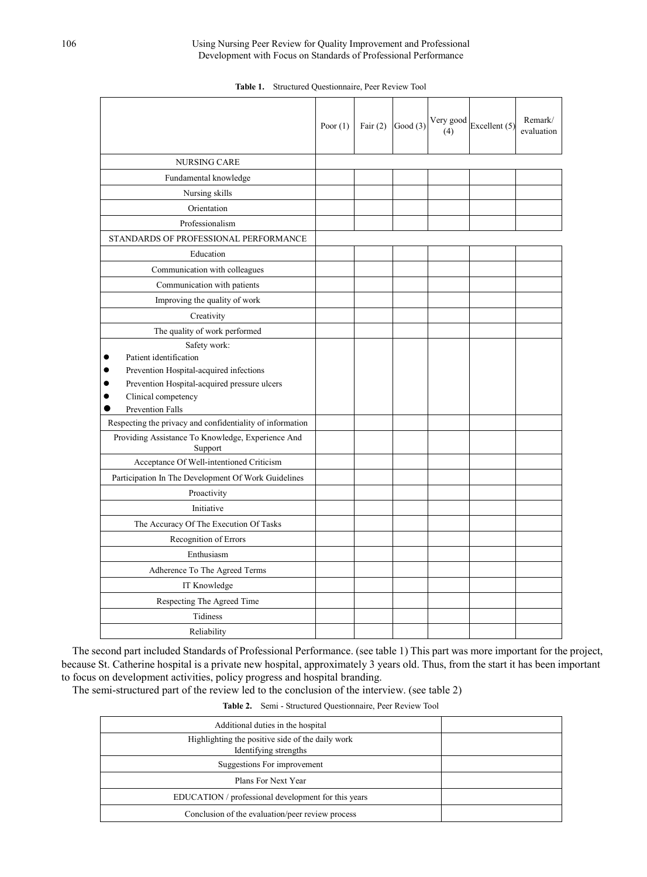|                                                              | Poor $(1)$ | Fair $(2)$ | Good $(3)$ | Very good<br>(4) | Excellent (5) | Remark/<br>evaluation |
|--------------------------------------------------------------|------------|------------|------------|------------------|---------------|-----------------------|
| <b>NURSING CARE</b>                                          |            |            |            |                  |               |                       |
| Fundamental knowledge                                        |            |            |            |                  |               |                       |
| Nursing skills                                               |            |            |            |                  |               |                       |
| Orientation                                                  |            |            |            |                  |               |                       |
| Professionalism                                              |            |            |            |                  |               |                       |
| STANDARDS OF PROFESSIONAL PERFORMANCE                        |            |            |            |                  |               |                       |
| Education                                                    |            |            |            |                  |               |                       |
| Communication with colleagues                                |            |            |            |                  |               |                       |
| Communication with patients                                  |            |            |            |                  |               |                       |
| Improving the quality of work                                |            |            |            |                  |               |                       |
| Creativity                                                   |            |            |            |                  |               |                       |
| The quality of work performed                                |            |            |            |                  |               |                       |
| Safety work:                                                 |            |            |            |                  |               |                       |
| Patient identification                                       |            |            |            |                  |               |                       |
| Prevention Hospital-acquired infections                      |            |            |            |                  |               |                       |
| Prevention Hospital-acquired pressure ulcers                 |            |            |            |                  |               |                       |
| Clinical competency<br>Prevention Falls                      |            |            |            |                  |               |                       |
| Respecting the privacy and confidentiality of information    |            |            |            |                  |               |                       |
| Providing Assistance To Knowledge, Experience And<br>Support |            |            |            |                  |               |                       |
| Acceptance Of Well-intentioned Criticism                     |            |            |            |                  |               |                       |
| Participation In The Development Of Work Guidelines          |            |            |            |                  |               |                       |
| Proactivity                                                  |            |            |            |                  |               |                       |
| Initiative                                                   |            |            |            |                  |               |                       |
| The Accuracy Of The Execution Of Tasks                       |            |            |            |                  |               |                       |
| Recognition of Errors                                        |            |            |            |                  |               |                       |
| Enthusiasm                                                   |            |            |            |                  |               |                       |
| Adherence To The Agreed Terms                                |            |            |            |                  |               |                       |
| IT Knowledge                                                 |            |            |            |                  |               |                       |
| Respecting The Agreed Time                                   |            |            |            |                  |               |                       |
| Tidiness                                                     |            |            |            |                  |               |                       |
| Reliability                                                  |            |            |            |                  |               |                       |

**Table 1.** Structured Questionnaire, Peer Review Tool

The second part included Standards of Professional Performance. (see table 1) This part was more important for the project, because St. Catherine hospital is a private new hospital, approximately 3 years old. Thus, from the start it has been important to focus on development activities, policy progress and hospital branding.

The semi-structured part of the review led to the conclusion of the interview. (see table 2)

**Table 2.** Semi - Structured Questionnaire, Peer Review Tool

| Additional duties in the hospital                                         |  |
|---------------------------------------------------------------------------|--|
| Highlighting the positive side of the daily work<br>Identifying strengths |  |
| Suggestions For improvement                                               |  |
| Plans For Next Year                                                       |  |
| EDUCATION / professional development for this years                       |  |
| Conclusion of the evaluation/peer review process                          |  |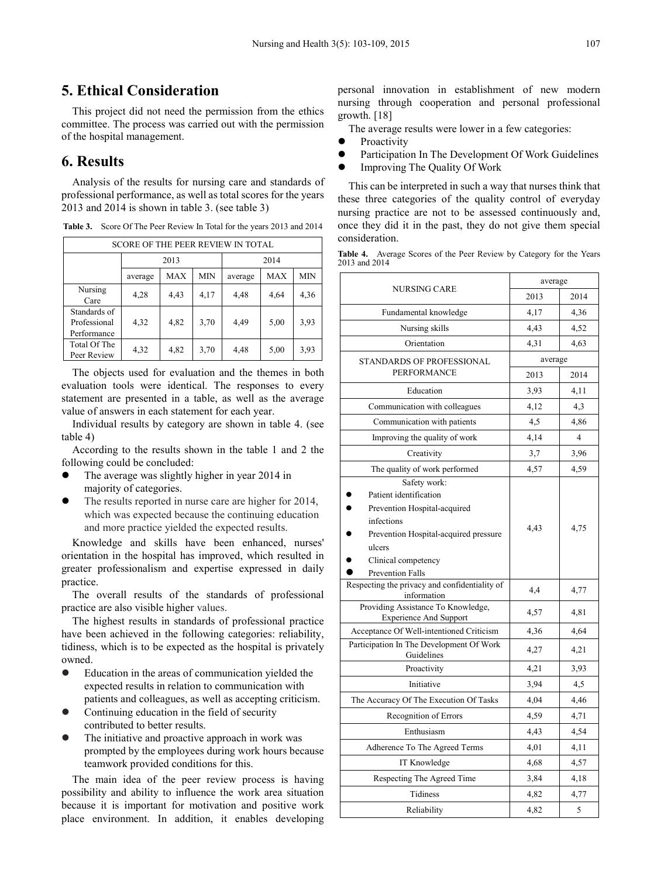## **5. Ethical Consideration**

This project did not need the permission from the ethics committee. The process was carried out with the permission of the hospital management.

## **6. Results**

Analysis of the results for nursing care and standards of professional performance, as well as total scores for the years 2013 and 2014 is shown in table 3. (see table 3)

| <b>SCORE OF THE PEER REVIEW IN TOTAL</b>    |         |      |            |         |            |            |  |  |
|---------------------------------------------|---------|------|------------|---------|------------|------------|--|--|
|                                             | 2013    |      |            | 2014    |            |            |  |  |
|                                             | average | MAX  | <b>MIN</b> | average | <b>MAX</b> | <b>MIN</b> |  |  |
| Nursing<br>Care                             | 4,28    | 4,43 | 4,17       | 4,48    | 4,64       | 4,36       |  |  |
| Standards of<br>Professional<br>Performance | 4,32    | 4,82 | 3,70       | 4,49    | 5,00       | 3,93       |  |  |
| Total Of The<br>Peer Review                 | 4,32    | 4,82 | 3,70       | 4,48    | 5,00       | 3,93       |  |  |

**Table 3.** Score Of The Peer Review In Total for the years 2013 and 2014

The objects used for evaluation and the themes in both evaluation tools were identical. The responses to every statement are presented in a table, as well as the average value of answers in each statement for each year.

Individual results by category are shown in table 4. (see table 4)

According to the results shown in the table 1 and 2 the following could be concluded:

- The average was slightly higher in year 2014 in majority of categories.
- The results reported in nurse care are higher for 2014, which was expected because the continuing education and more practice yielded the expected results.

Knowledge and skills have been enhanced, nurses' orientation in the hospital has improved, which resulted in greater professionalism and expertise expressed in daily practice.

The overall results of the standards of professional practice are also visible higher values.

The highest results in standards of professional practice have been achieved in the following categories: reliability, tidiness, which is to be expected as the hospital is privately owned.

- Education in the areas of communication yielded the expected results in relation to communication with patients and colleagues, as well as accepting criticism.
- Continuing education in the field of security contributed to better results.
- The initiative and proactive approach in work was prompted by the employees during work hours because teamwork provided conditions for this.

The main idea of the peer review process is having possibility and ability to influence the work area situation because it is important for motivation and positive work place environment. In addition, it enables developing

personal innovation in establishment of new modern nursing through cooperation and personal professional growth. [18]

The average results were lower in a few categories:

- Proactivity
- **•** Participation In The Development Of Work Guidelines
- Improving The Quality Of Work

This can be interpreted in such a way that nurses think that these three categories of the quality control of everyday nursing practice are not to be assessed continuously and, once they did it in the past, they do not give them special consideration.

| Table 4. Average Scores of the Peer Review by Category for the Years |  |  |  |  |  |
|----------------------------------------------------------------------|--|--|--|--|--|
| 2013 and 2014                                                        |  |  |  |  |  |

|                                                                                                                                                                                    | average |                |  |  |
|------------------------------------------------------------------------------------------------------------------------------------------------------------------------------------|---------|----------------|--|--|
| <b>NURSING CARE</b>                                                                                                                                                                | 2013    | 2014           |  |  |
| Fundamental knowledge                                                                                                                                                              | 4,17    | 4,36           |  |  |
| Nursing skills                                                                                                                                                                     | 4,43    | 4,52           |  |  |
| Orientation                                                                                                                                                                        | 4,31    | 4,63           |  |  |
| <b>STANDARDS OF PROFESSIONAL</b>                                                                                                                                                   | average |                |  |  |
| <b>PERFORMANCE</b>                                                                                                                                                                 | 2013    | 2014           |  |  |
| Education                                                                                                                                                                          | 3,93    | 4,11           |  |  |
| Communication with colleagues                                                                                                                                                      | 4,12    | 4,3            |  |  |
| Communication with patients                                                                                                                                                        | 4,5     | 4,86           |  |  |
| Improving the quality of work                                                                                                                                                      | 4,14    | $\overline{4}$ |  |  |
| Creativity                                                                                                                                                                         | 3,7     | 3,96           |  |  |
| The quality of work performed                                                                                                                                                      | 4,57    | 4,59           |  |  |
| Safety work:<br>Patient identification<br>Prevention Hospital-acquired<br>infections<br>Prevention Hospital-acquired pressure<br>ulcers<br>Clinical competency<br>Prevention Falls | 4,43    | 4,75           |  |  |
| Respecting the privacy and confidentiality of<br>information                                                                                                                       | 4,4     | 4,77           |  |  |
| Providing Assistance To Knowledge,<br><b>Experience And Support</b>                                                                                                                | 4,57    | 4,81           |  |  |
| Acceptance Of Well-intentioned Criticism                                                                                                                                           | 4,36    | 4,64           |  |  |
| Participation In The Development Of Work<br>Guidelines                                                                                                                             | 4,27    | 4,21           |  |  |
| Proactivity                                                                                                                                                                        | 4,21    | 3,93           |  |  |
| Initiative                                                                                                                                                                         | 3,94    | 4,5            |  |  |
| The Accuracy Of The Execution Of Tasks                                                                                                                                             | 4,04    | 4,46           |  |  |
| Recognition of Errors                                                                                                                                                              | 4,59    | 4,71           |  |  |
| Enthusiasm                                                                                                                                                                         | 4,43    | 4,54           |  |  |
| Adherence To The Agreed Terms                                                                                                                                                      | 4,01    | 4,11           |  |  |
| IT Knowledge                                                                                                                                                                       | 4,68    | 4,57           |  |  |
| Respecting The Agreed Time                                                                                                                                                         | 3,84    | 4,18           |  |  |
| <b>Tidiness</b>                                                                                                                                                                    | 4,82    | 4,77           |  |  |
| Reliability                                                                                                                                                                        | 4,82    | 5              |  |  |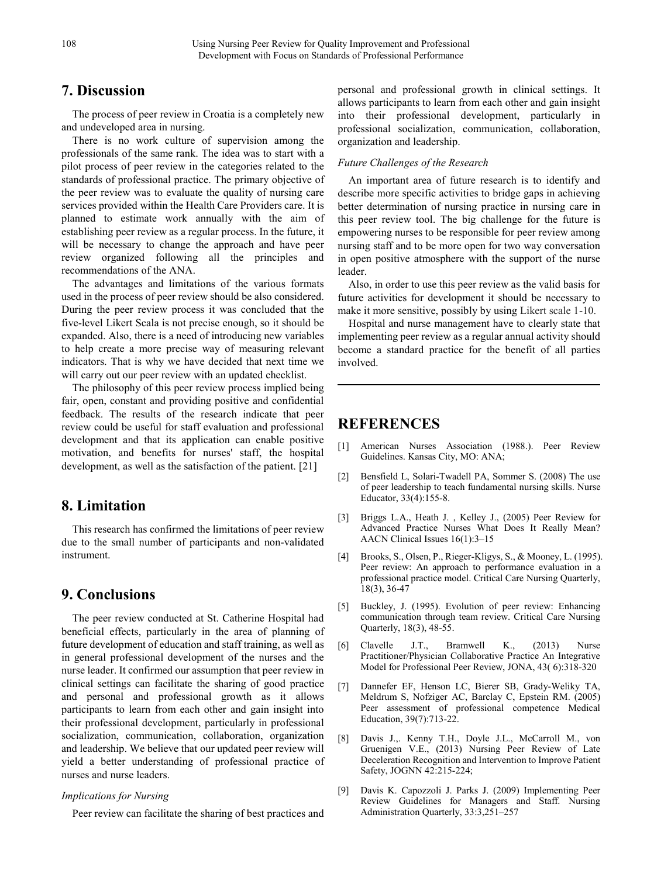## **7. Discussion**

The process of peer review in Croatia is a completely new and undeveloped area in nursing.

There is no work culture of supervision among the professionals of the same rank. The idea was to start with a pilot process of peer review in the categories related to the standards of professional practice. The primary objective of the peer review was to evaluate the quality of nursing care services provided within the Health Care Providers care. It is planned to estimate work annually with the aim of establishing peer review as a regular process. In the future, it will be necessary to change the approach and have peer review organized following all the principles and recommendations of the ANA.

The advantages and limitations of the various formats used in the process of peer review should be also considered. During the peer review process it was concluded that the five-level Likert Scala is not precise enough, so it should be expanded. Also, there is a need of introducing new variables to help create a more precise way of measuring relevant indicators. That is why we have decided that next time we will carry out our peer review with an updated checklist.

The philosophy of this peer review process implied being fair, open, constant and providing positive and confidential feedback. The results of the research indicate that peer review could be useful for staff evaluation and professional development and that its application can enable positive motivation, and benefits for nurses' staff, the hospital development, as well as the satisfaction of the patient. [21]

## **8. Limitation**

This research has confirmed the limitations of peer review due to the small number of participants and non-validated instrument.

#### **9. Conclusions**

The peer review conducted at St. Catherine Hospital had beneficial effects, particularly in the area of planning of future development of education and staff training, as well as in general professional development of the nurses and the nurse leader. It confirmed our assumption that peer review in clinical settings can facilitate the sharing of good practice and personal and professional growth as it allows participants to learn from each other and gain insight into their professional development, particularly in professional socialization, communication, collaboration, organization and leadership. We believe that our updated peer review will yield a better understanding of professional practice of nurses and nurse leaders.

#### *Implications for Nursing*

Peer review can facilitate the sharing of best practices and

personal and professional growth in clinical settings. It allows participants to learn from each other and gain insight into their professional development, particularly in professional socialization, communication, collaboration, organization and leadership.

#### *Future Challenges of the Research*

An important area of future research is to identify and describe more specific activities to bridge gaps in achieving better determination of nursing practice in nursing care in this peer review tool. The big challenge for the future is empowering nurses to be responsible for peer review among nursing staff and to be more open for two way conversation in open positive atmosphere with the support of the nurse leader.

Also, in order to use this peer review as the valid basis for future activities for development it should be necessary to make it more sensitive, possibly by using Likert scale 1-10.

Hospital and nurse management have to clearly state that implementing peer review as a regular annual activity should become a standard practice for the benefit of all parties involved.

## **REFERENCES**

- [1] American Nurses Association (1988.). Peer Review Guidelines. Kansas City, MO: ANA;
- [2] Bensfield L, Solari-Twadell PA, Sommer S. (2008) The use of peer leadership to teach fundamental nursing skills. Nurse Educator, 33(4):155-8.
- [3] Briggs L.A., Heath J. , Kelley J., (2005) Peer Review for Advanced Practice Nurses What Does It Really Mean? AACN Clinical Issues 16(1):3–15
- [4] Brooks, S., Olsen, P., Rieger-Kligys, S., & Mooney, L. (1995). Peer review: An approach to performance evaluation in a professional practice model. Critical Care Nursing Quarterly, 18(3), 36-47
- [5] Buckley, J. (1995). Evolution of peer review: Enhancing communication through team review. Critical Care Nursing Quarterly, 18(3), 48-55.
- [6] Clavelle J.T., Bramwell K., (2013) Nurse Practitioner/Physician Collaborative Practice An Integrative Model for Professional Peer Review, JONA, 43( 6):318-320
- [7] Dannefer EF, Henson LC, Bierer SB, Grady-Weliky TA, Meldrum S, Nofziger AC, Barclay C, Epstein RM. (2005) Peer assessment of professional competence Medical Education, 39(7):713-22.
- [8] Davis J.,. Kenny T.H., Doyle J.L., McCarroll M., von Gruenigen V.E., (2013) Nursing Peer Review of Late Deceleration Recognition and Intervention to Improve Patient Safety, JOGNN 42:215-224;
- [9] Davis K. Capozzoli J. Parks J. (2009) Implementing Peer Review Guidelines for Managers and Staff. Nursing Administration Quarterly, 33:3,251–257